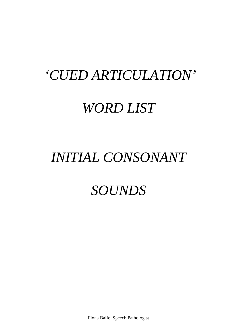# *'CUED ARTICULATION'*

# *WORD LIST*

# *INITIAL CONSONANT*

# *SOUNDS*

Fiona Balfe. Speech Pathologist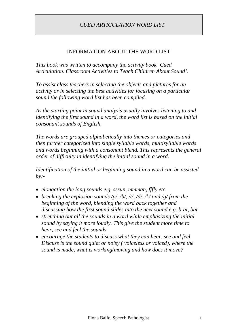#### INFORMATION ABOUT THE WORD LIST

*This book was written to accompany the activity book 'Cued Articulation. Classroom Activities to Teach Children About Sound'.*

*To assist class teachers in selecting the objects and pictures for an activity or in selecting the best activities for focusing on a particular sound the following word list has been compiled.*

*As the starting point in sound analysis usually involves listening to and identifying the first sound in a word, the word list is based on the initial consonant sounds of English.*

*The words are grouped alphabetically into themes or categories and then further categorized into single syllable words, multisyllable words and words beginning with a consonant blend. This represents the general order of difficulty in identifying the initial sound in a word.*

*Identification of the initial or beginning sound in a word can be assisted by:-*

- *elongation the long sounds e.g. sssun, mmman, fffly etc*
- *breaking the explosion sounds /p/, /b/, /t/, /d/, /k/ and /g/ from the beginning of the word, blending the word back together and discussing how the first sound slides into the next sound e.g. b-at, bat*
- *stretching out all the sounds in a word while emphasizing the initial sound by saying it more loudly. This give the student more time to hear, see and feel the sounds*
- *encourage the students to discuss what they can hear, see and feel. Discuss is the sound quiet or noisy ( voiceless or voiced), where the sound is made, what is working/moving and how does it move?*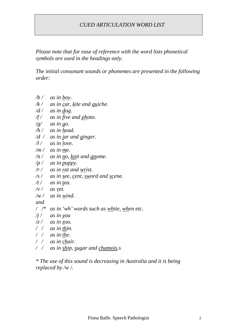*Please note that for ease of reference with the word lists phonetical symbols are used in the headings only.*

*The initial consonant sounds or phonemes are presented in the following order:*

- */b / as in boy.*
- */k / as in car, kite and quiche.*
- */d / as in dog.*
- */f / as in five and photo.*
- */g/ as in go.*
- */h / as in head.*
- */d / as in jar and ginger.*
- */l / as in love.*
- */m / as in me.*
- */n / as in no, knit and gnome.*
- */p / as in puppy.*
- */r / as in rat and wrist.*
- */s / as in see, cent, sword and scene.*
- */t / as in tea.*
- $\sqrt{v}$  *as vet.*
- */w / as in wind.*
- *and*
- */ /\* as in 'wh' words such as white, when etc.*
- */j / as in you*
- */z / as in zoo.*
- */ / as in thin.*
- */ / as in the.*
- */ / as in chair.*
- */ / as in ship, sugar and chamois.s*

*\* The use of this sound is decreasing in Australia and it is being replaced by /w /.*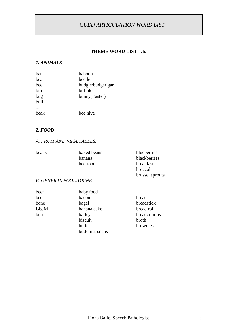#### **THEME WORD LIST - /b/**

#### *1. ANIMALS*

| hat  | hahoon            |
|------|-------------------|
| bear | beetle            |
| hee  | budgie/budgerigar |
| bird | buffalo           |
| bug  | bunny(Easter)     |
| bull |                   |
|      |                   |
| heak | hee hive          |

#### *2. FOOD*

#### *A. FRUIT AND VEGETABLES.*

| beans | baked beans | blueberries     |
|-------|-------------|-----------------|
|       | banana      | blackberries    |
|       | beetroot    | breakfast       |
|       |             | broccoli        |
|       |             | brussel sprouts |

#### *B. GENERAL FOOD/DRINK*

| beef  | baby food       |             |
|-------|-----------------|-------------|
| beer  | bacon           | bread       |
| bone  | bagel           | breadstick  |
| Big M | banana cake     | bread roll  |
| bun   | barley          | breadcrumbs |
|       | biscuit         | broth       |
|       | butter          | brownies    |
|       | butternut snaps |             |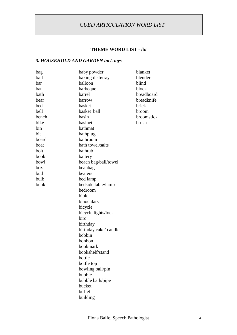#### **THEME WORD LIST - /b/**

#### *3. HOUSEHOLD AND GARDEN incl. toys*

| bag   | baby powder           | blanket      |
|-------|-----------------------|--------------|
| ball  | baking dish/tray      | blender      |
| bar   | balloon               | blind        |
| bat   | barbeque              | block        |
| bath  | barrel                | breadboard   |
| bear  | barrow                | breadknife   |
| bed   | basket                | brick        |
| bell  | basket ball           | broom        |
| bench | basin                 | broomstick   |
| bike  | basinet               | <b>brush</b> |
| bin   | bathmat               |              |
| bit   |                       |              |
| board | bathplug<br>bathroom  |              |
|       | bath towel/salts      |              |
| boat  |                       |              |
| bolt  | bathtub               |              |
| book  | battery               |              |
| bowl  | beach bag/ball/towel  |              |
| box   | beanbag               |              |
| bud   | beaters               |              |
| bulb  | bed lamp              |              |
| bunk  | bedside table/lamp    |              |
|       | bedroom               |              |
|       | bible                 |              |
|       | binoculars            |              |
|       | bicycle               |              |
|       | bicycle lights/lock   |              |
|       | biro                  |              |
|       | birthday              |              |
|       | birthday cake/ candle |              |
|       | bobbin                |              |
|       | bonbon                |              |
|       | bookmark              |              |
|       | bookshelf/stand       |              |
|       | bottle                |              |
|       | bottle top            |              |
|       | bowling ball/pin      |              |
|       | bubble                |              |
|       | bubble bath/pipe      |              |
|       | bucket                |              |
|       | buffet                |              |
|       | building              |              |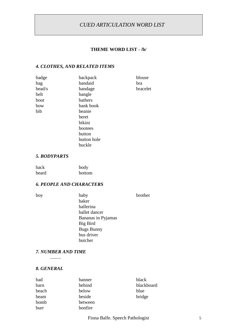#### **THEME WORD LIST - /b/**

#### *4. CLOTHES, AND RELATED ITEMS*

| badge  | backpack    | blouse   |
|--------|-------------|----------|
| bag    | bandaid     | bra      |
| bead/s | bandage     | bracelet |
| belt   | bangle      |          |
| boot   | bathers     |          |
| bow    | bank book   |          |
| bib    | beanie      |          |
|        | beret       |          |
|        | bikini      |          |
|        | bootees     |          |
|        | button      |          |
|        | button hole |          |
|        | buckle      |          |
|        |             |          |

#### *5. BODYPARTS*

| back  | body   |
|-------|--------|
| beard | bottom |

#### *6. PEOPLE AND CHARACTERS*

| i | I<br>$\sim$<br>$\sim$ | ۰, |
|---|-----------------------|----|
|   |                       |    |

baby brother baker ballerina ballet dancer Bananas in Pyjamas Big Bird Bugs Bunny bus driver butcher

#### *7. NUMBER AND TIME*

.........

#### *8. GENERAL*

| bad   | banner  | black      |
|-------|---------|------------|
| barn  | behind  | blackboard |
| beach | below   | blue       |
| beam  | beside  | bridge     |
| bomb  | between |            |
| burr  | bonfire |            |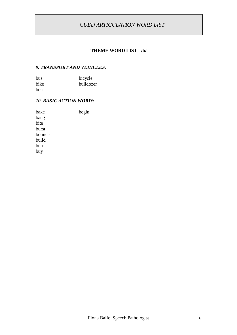#### **THEME WORD LIST - /b/**

#### *9. TRANSPORT AND VEHICLES.*

| <b>bus</b> | bicycle   |
|------------|-----------|
| bike       | bulldozer |
| boat       |           |

#### *10. BASIC ACTION WORDS*

bake begin bang bite burst bounce build burn buy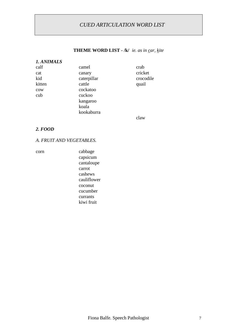#### **THEME WORD LIST - /k/** *ie. as in car, kite*

| 1. ANIMALS |             |                    |
|------------|-------------|--------------------|
| calf       | camel       | crab               |
| cat        | canary      | cricket            |
| kid        | caterpillar | crocodile          |
| kitten     | cattle      | quail              |
| cow        | cockatoo    |                    |
| cub        | cuckoo      |                    |
|            | kangaroo    |                    |
|            | koala       |                    |
|            | kookaburra  |                    |
|            |             | $\sim$ l $\sim$ vv |

claw

#### *2. FOOD*

#### *A. FRUIT AND VEGETABLES.*

corn cabbage capsicum cantaloupe carrot cashews cauliflower coconut cucumber currants kiwi fruit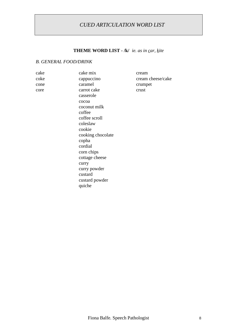# **THEME WORD LIST - /k/** *ie. as in car, kite*

#### *B. GENERAL FOOD/DRINK*

| cake | cake mix          | cream             |
|------|-------------------|-------------------|
| coke | cappuccino        | cream cheese/cake |
| cone | caramel           | crumpet           |
| core | carrot cake       | crust             |
|      | casserole         |                   |
|      | cocoa             |                   |
|      | coconut milk      |                   |
|      | coffee            |                   |
|      | coffee scroll     |                   |
|      | coleslaw          |                   |
|      | cookie            |                   |
|      | cooking chocolate |                   |
|      | copha             |                   |
|      | cordial           |                   |
|      | corn chips        |                   |
|      | cottage cheese    |                   |
|      | curry             |                   |
|      | curry powder      |                   |
|      | custard           |                   |
|      | custard powder    |                   |
|      | quiche            |                   |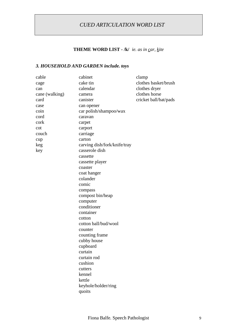# **THEME WORD LIST - /k/** *ie. as in car, kite*

# *3. HOUSEHOLD AND GARDEN include. toys*

| cable          | cabinet                      | clamp                 |
|----------------|------------------------------|-----------------------|
| cage           | cake tin                     | clothes basket/brush  |
| can            | calendar                     | clothes dryer         |
| cane (walking) | camera                       | clothes horse         |
| card           | canister                     | cricket ball/bat/pads |
| case           | can opener                   |                       |
| coin           | car polish/shampoo/wax       |                       |
| cord           | caravan                      |                       |
| cork           | carpet                       |                       |
| cot            | carport                      |                       |
| couch          | carriage                     |                       |
| cup            | carton                       |                       |
| keg            | carving dish/fork/knife/tray |                       |
| key            | casserole dish               |                       |
|                | cassette                     |                       |
|                | cassette player              |                       |
|                | coaster                      |                       |
|                | coat hanger                  |                       |
|                | colander                     |                       |
|                | comic                        |                       |
|                | compass                      |                       |
|                | compost bin/heap             |                       |
|                | computer                     |                       |
|                | conditioner                  |                       |
|                | container                    |                       |
|                | cotton                       |                       |
|                | cotton ball/bud/wool         |                       |
|                | counter                      |                       |
|                | counting frame               |                       |
|                | cubby house                  |                       |
|                | cupboard                     |                       |
|                | curtain                      |                       |
|                | curtain rod                  |                       |
|                | cushion                      |                       |
|                | cutters                      |                       |
|                | kennel                       |                       |
|                | kettle                       |                       |
|                | keyhole/holder/ring          |                       |
|                | quoits                       |                       |
|                |                              |                       |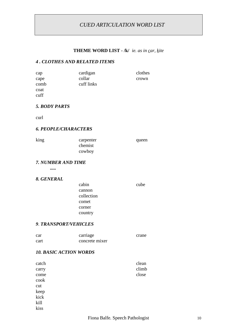#### **THEME WORD LIST - /k/** *ie. as in car, kite*

#### *4 . CLOTHES AND RELATED ITEMS*

| cap  | cardigan   | clothes |
|------|------------|---------|
| cape | collar     | crown   |
| comb | cuff links |         |
| coat |            |         |
| cuff |            |         |

#### *5. BODY PARTS*

curl

#### *6. PEOPLE/CHARACTERS*

| king | carpenter | queen |
|------|-----------|-------|
|      | chemist   |       |
|      | cowboy    |       |

#### *7. NUMBER AND TIME*

*.....*

#### *8. GENERAL*

| cabin      | cube |
|------------|------|
| cannon     |      |
| collection |      |
| comet      |      |
| corner     |      |
| country    |      |

#### *9*. *TRANSPORT/VEHICLES*

| car  | carriage       | crane |
|------|----------------|-------|
| cart | concrete mixer |       |

#### *10. BASIC ACTION WORDS*

| catch | clean |
|-------|-------|
| carry | climb |
| come  | close |
| cook  |       |
| cut   |       |
| keep  |       |
| kick  |       |
| kill  |       |
| kiss  |       |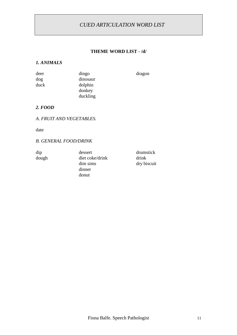#### **THEME WORD LIST - /d/**

#### *1. ANIMALS*

| deer | dingo    | dragon |
|------|----------|--------|
| dog  | dinosaur |        |
| duck | dolphin  |        |
|      | donkey   |        |
|      | duckling |        |

#### *2. FOOD*

#### *A. FRUIT AND VEGETABLES.*

date

#### *B. GENERAL FOOD/DRINK*

dough diet coke/drink drink dim sims dry biscuit dinner donut

dip dessert drumstick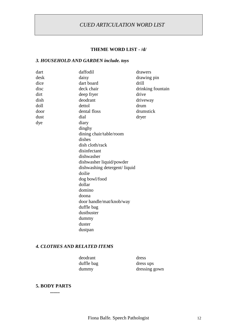#### **THEME WORD LIST - /d/**

# *3. HOUSEHOLD AND GARDEN include. toys*

| dart | daffodil                     | drawers           |
|------|------------------------------|-------------------|
| desk | daisy                        | drawing pin       |
| dice | dart board                   | drill             |
| disc | deck chair                   | drinking fountain |
| dirt | deep fryer                   | drive             |
| dish | deodrant                     | driveway          |
| doll | dettol                       | drum              |
| door | dental floss                 | drumstick         |
| dust | dial                         | dryer             |
| dye  | diary                        |                   |
|      | dinghy                       |                   |
|      | dining chair/table/room      |                   |
|      | dishes                       |                   |
|      | dish cloth/rack              |                   |
|      | disinfectant                 |                   |
|      | dishwasher                   |                   |
|      | dishwasher liquid/powder     |                   |
|      | dishwashing detergent/liquid |                   |
|      | doilie                       |                   |
|      | dog bowl/food                |                   |
|      | dollar                       |                   |
|      | domino                       |                   |
|      | doona                        |                   |
|      | door handle/mat/knob/way     |                   |
|      | duffle bag                   |                   |
|      | dustbuster                   |                   |
|      | dummy                        |                   |
|      | duster                       |                   |
|      | dustpan                      |                   |
|      |                              |                   |

#### *4. CLOTHES AND RELATED ITEMS*

| deodrant   | dress         |
|------------|---------------|
| duffle bag | dress ups     |
| dummy      | dressing gown |

#### **5. BODY PARTS**

**........**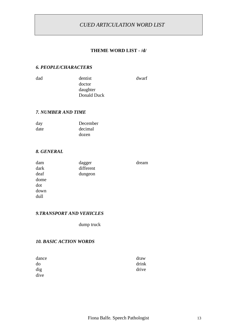#### **THEME WORD LIST - /d/**

dream

#### *6. PEOPLE/CHARACTERS*

dad dentist dwarf doctor daughter Donald Duck

#### *7. NUMBER AND TIME*

| day  | December |
|------|----------|
| date | decimal  |
|      | dozen    |

#### *8. GENERAL*

| dam  | dagger    |
|------|-----------|
| dark | different |
| deaf | dungeon   |
| dome |           |
| dot  |           |
| down |           |
| dull |           |

#### *9.TRANSPORT AND VEHICLES*

dump truck

#### *10. BASIC ACTION WORDS*

| dance | draw  |
|-------|-------|
| do    | drink |
| dig   | drive |
| dive  |       |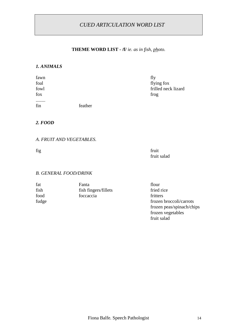# **THEME WORD LIST - /f/** *ie. as in fish, photo.*

#### *1. ANIMALS*

| fawn |         | fly                 |
|------|---------|---------------------|
| foal |         | flying fox          |
| fowl |         | frilled neck lizard |
| fox  |         | frog                |
|      |         |                     |
| fin  | feather |                     |

#### *2. FOOD*

#### *A. FRUIT AND VEGETABLES.*

fig fruit fruit salad

frozen vegetables

fruit salad

#### *B. GENERAL FOOD/DRINK*

| fat   | Fanta                | flour                     |
|-------|----------------------|---------------------------|
| fish  | fish fingers/fillets | fried rice                |
| food  | foccaccia            | fritters                  |
| fudge |                      | frozen broccoli/carrots   |
|       |                      | frozen peas/spinach/chips |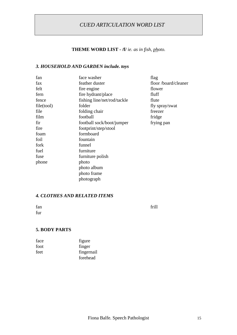# **THEME WORD LIST - /f/** *ie. as in fish, photo.*

#### *3. HOUSEHOLD AND GARDEN include. toys*

| fan        | face washer                 | flag                |
|------------|-----------------------------|---------------------|
| fax        | feather duster              | floor/board/cleaner |
| felt       | fire engine                 | flower              |
| fern       | fire hydrant/place          | fluff               |
| fence      | fishing line/net/rod/tackle | flute               |
| file(tool) | folder                      | fly spray/swat      |
| file       | folding chair               | freezer             |
| film       | football                    | fridge              |
| fir        | football sock/boot/jumper   | frying pan          |
| fire       | footprint/step/stool        |                     |
| foam       | formboard                   |                     |
| foil       | fountain                    |                     |
| fork       | funnel                      |                     |
| fuel       | furniture                   |                     |
| fuse       | furniture polish            |                     |
| phone      | photo                       |                     |
|            | photo album                 |                     |
|            | photo frame                 |                     |
|            | photograph                  |                     |
|            |                             |                     |

#### *4. CLOTHES AND RELATED ITEMS*

| r<br>г.<br>н |  |
|--------------|--|
|              |  |

fan frill

#### **5. BODY PARTS**

| face | figure     |
|------|------------|
| foot | finger     |
| feet | fingernail |
|      | forehead   |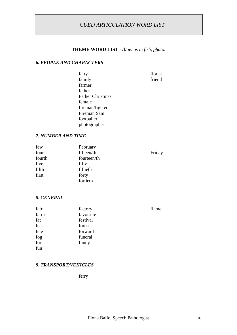# **THEME WORD LIST - /f/** *ie. as in fish, photo.*

#### *6. PEOPLE AND CHARACTERS*

| fairy                   | florist |
|-------------------------|---------|
| family                  | friend  |
| farmer                  |         |
| father                  |         |
| <b>Father Christmas</b> |         |
| female                  |         |
| fireman/fighter         |         |
| Fireman Sam             |         |
| footballer              |         |
| photographer            |         |
|                         |         |

#### *7. NUMBER AND TIME*

| few    | February    |        |
|--------|-------------|--------|
| four   | fifteen/th  | Friday |
| fourth | fourteen/th |        |
| five   | fifty       |        |
| fifth  | fiftieth    |        |
| first  | forty       |        |
|        | fortieth    |        |

#### *8. GENERAL*

| fair  | factory   | flame |
|-------|-----------|-------|
| farm  | favourite |       |
| fat   | festival  |       |
| feast | forest    |       |
| fete  | forward   |       |
| fog   | funeral   |       |
| fort  | funny     |       |
| fun   |           |       |

#### *9*. *TRANSPORT/VEHICLES*

ferry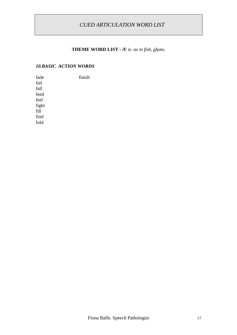# **THEME WORD LIST - /f/** *ie. as in fish, photo.*

#### *10.BASIC ACTION WORDS*

| fade  | finish |
|-------|--------|
| fail  |        |
| fall  |        |
| feed  |        |
| feel  |        |
| fight |        |
| fill  |        |
| find  |        |
| fold  |        |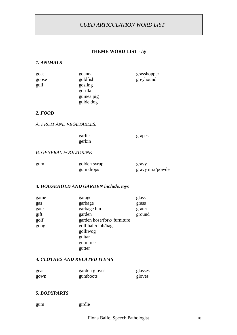#### **THEME WORD LIST - /g/**

#### *1. ANIMALS*

| greyhound |
|-----------|
|           |
|           |
|           |
|           |
|           |

#### *2. FOOD*

*A. FRUIT AND VEGETABLES.*

gerkin

garlic grapes

#### *B. GENERAL FOOD/DRINK*

| gum | golden syrup | gravy            |
|-----|--------------|------------------|
|     | gum drops    | gravy mix/powder |

#### *3. HOUSEHOLD AND GARDEN include. toys*

| game | garage                      | glass  |
|------|-----------------------------|--------|
| gas  | garbage                     | grass  |
| gate | garbage bin                 | grater |
| gift | garden                      | ground |
| golf | garden hose/fork/ furniture |        |
| gong | golf ball/club/bag          |        |
|      | golliwog                    |        |
|      | guitar                      |        |
|      | gum tree                    |        |
|      | gutter                      |        |

#### *4. CLOTHES AND RELATED ITEMS*

| gear | garden gloves | glasses |
|------|---------------|---------|
| gown | gumboots      | gloves  |

#### *5. BODYPARTS*

gum girdle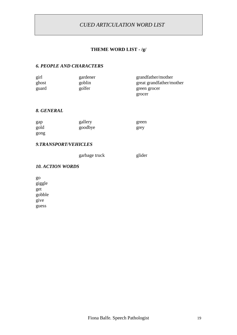#### **THEME WORD LIST - /g/**

#### *6. PEOPLE AND CHARACTERS*

| girl  | gardener | grandfather/mother       |
|-------|----------|--------------------------|
| ghost | goblin   | great grandfather/mother |
| guard | golfer   | green grocer             |
|       |          | grocer                   |

#### *8. GENERAL*

| gap  | gallery | green |
|------|---------|-------|
| gold | goodbye | grey  |
| gong |         |       |

#### *9.TRANSPORT/VEHICLES*

garbage truck glider

#### *10. ACTION WORDS*

go giggle get gobble give guess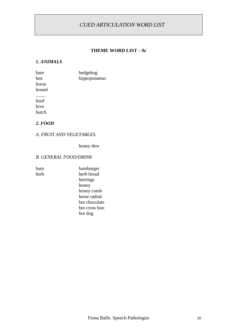#### **THEME WORD LIST - /h/**

#### *1. ANIMALS*

| hare  | hedgehog     |
|-------|--------------|
| hen   | hippopotamus |
| horse |              |
| hound |              |
|       |              |
| hoof  |              |
| hive  |              |
| hutch |              |

#### *2. FOOD*

#### *A. FRUIT AND VEGETABLES.*

honey dew

#### *B. GENERAL FOOD/DRINK*

| и<br>í I<br>Ш<br>. |  |
|--------------------|--|
|                    |  |

ham hamburger herb herb bread herrings honey honey comb horse radish hot chocolate hot cross bun hot dog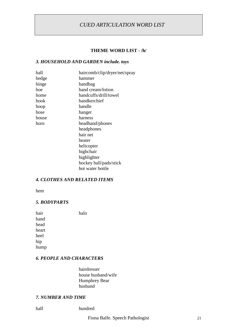#### **THEME WORD LIST - /h/**

#### *3. HOUSEHOLD AND GARDEN include. toys*

| hall  | haircomb/clip/dryer/net/spray |
|-------|-------------------------------|
| hedge | hammer                        |
| hinge | handbag                       |
| hoe   | hand cream/lotion             |
| home  | handcuffs/drill/towel         |
| hook  | handkerchief                  |
| hoop  | handle                        |
| hose  | hanger                        |
| house | harness                       |
| horn  | headband/phones               |
|       | headphones                    |
|       | hair net                      |
|       | heater                        |
|       | helicopter                    |
|       | highchair                     |
|       | highlighter                   |
|       | hockey ball/pads/stick        |
|       | hot water bottle              |
|       |                               |

#### *4. CLOTHES AND RELATED ITEMS*

hem

#### *5. BODYPARTS*

| hair  | halo |
|-------|------|
| hand  |      |
| head  |      |
| heart |      |
| heel  |      |
| hip   |      |
| hump  |      |
|       |      |

#### *6. PEOPLE AND CHARACTERS*

hairdresser house husband/wife Humphrey Bear husband

#### *7. NUMBER AND TIME*

half hundred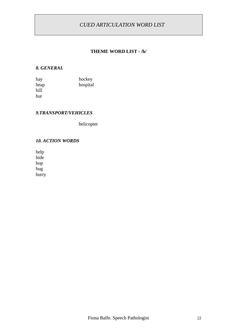#### **THEME WORD LIST - /h/**

#### *8. GENERAL*

| hay  | hockey   |
|------|----------|
| heap | hospital |
| hill |          |
| hut  |          |

#### *9.TRANSPORT/VEHICLES*

helicopter

#### *10. ACTION WORDS*

help hide hop hug hurry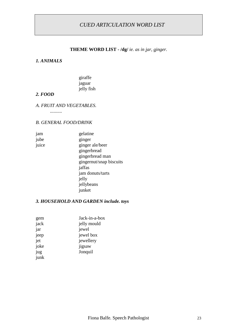#### **THEME WORD LIST - /dg/** *ie. as in jar, ginger.*

#### *1. ANIMALS*

giraffe jaguar jelly fish

#### *2. FOOD*

#### *A. FRUIT AND VEGETABLES.*

*..........*

#### *B. GENERAL FOOD/DRINK*

jam gelatine jube ginger juice ginger ale/beer gingerbread gingerbread man gingernut/snap biscuits jaffas jam donuts/tarts jelly jellybeans junket

#### *3. HOUSEHOLD AND GARDEN include. toys*

| gem  | Jack-in-a-box |
|------|---------------|
| jack | jelly mould   |
| jar  | jewel         |
| jeep | jewel box     |
| jet  | jewellery     |
| joke | jigsaw        |
| jug  | Jonquil       |
| junk |               |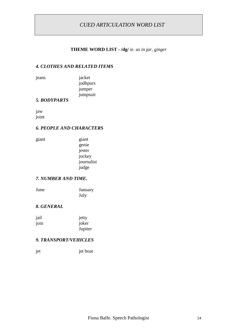#### **THEME WORD LIST - /dg/** *ie. as in jar, ginger*

#### *4. CLOTHES AND RELATED ITEMS*

jeans jacket jodhpurs jumper jumpsuit

#### *5. BODYPARTS*

jaw joint

#### *6. PEOPLE AND CHARACTERS*

| giant | giant      |
|-------|------------|
|       | genie      |
|       | jester     |
|       | jockey     |
|       | journalist |
|       | judge      |

#### *7. NUMBER AND TIME.*

| June | January |
|------|---------|
|      | July    |

#### *8. GENERAL*

| jail | jetty   |
|------|---------|
| join | joker   |
|      | Jupiter |

#### *9. TRANSPORT/VEHICLES*

| jet | jet boat |
|-----|----------|
|     |          |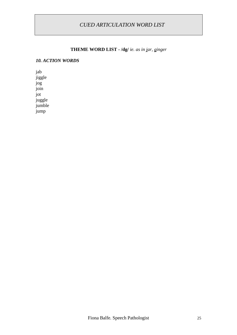#### **THEME WORD LIST - /dg/** *ie. as in jar, ginger*

#### *10. ACTION WORDS*

jab jiggle jog join jot juggle jumble jump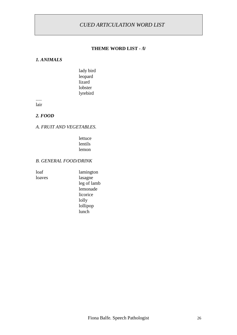#### **THEME WORD LIST - /l/**

#### *1. ANIMALS*

lady bird leopard lizard lobster lyrebird

..... lair

#### *2. FOOD*

#### *A. FRUIT AND VEGETABLES.*

lettuce lentils lemon

leg of lamb lemonade licorice lolly lollipop lunch

#### *B. GENERAL FOOD/DRINK*

loaf lamington loaves lasagne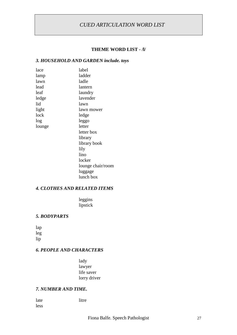#### **THEME WORD LIST - /l/**

#### *3. HOUSEHOLD AND GARDEN include. toys*

| lace   | label             |
|--------|-------------------|
| lamp   | ladder            |
| lawn   | ladle             |
| lead   | lantern           |
| leaf   | laundry           |
| ledge  | lavender          |
| lid    | lawn              |
| light  | lawn mower        |
| lock   | ledge             |
| log    | leggo             |
| lounge | letter            |
|        | letter box        |
|        | library           |
|        | library book      |
|        | lily              |
|        | lino              |
|        | locker            |
|        | lounge chair/room |
|        | luggage           |
|        | lunch box         |
|        |                   |

#### *4. CLOTHES AND RELATED ITEMS*

leggins lipstick

#### *5. BODYPARTS*

lap leg lip

#### *6. PEOPLE AND CHARACTERS*

lady lawyer life saver lorry driver

#### *7. NUMBER AND TIME.*

less

late litre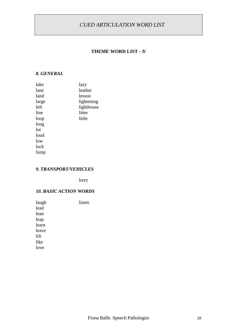#### **THEME WORD LIST - /l/**

#### *8. GENERAL*

| lake  | lazy       |
|-------|------------|
| lane  | leather    |
| land  | lesson     |
| large | lightening |
| left  | lighthouse |
| line  | litter     |
| loop  | little     |
| long  |            |
| lot   |            |
| loud  |            |
| low   |            |
| luck  |            |
| lump  |            |
|       |            |

#### *9. TRANSPORT/VEHICLES*

lorry

#### *10. BASIC ACTION WORDS*

| laugh | listen |
|-------|--------|
| lead  |        |
| lean  |        |
| leap  |        |
| learn |        |
| leave |        |
| lift  |        |
| like  |        |
| love  |        |
|       |        |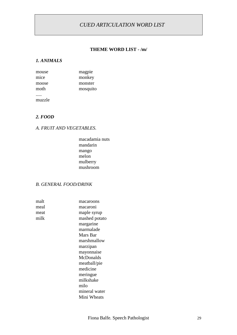#### **THEME WORD LIST - /m/**

#### *1. ANIMALS*

| mouse  | magpie   |
|--------|----------|
| mice   | monkey   |
| moose  | monster  |
| moth   | mosquito |
|        |          |
| muzzle |          |

#### *2. FOOD*

#### *A. FRUIT AND VEGETABLES.*

macadamia nuts mandarin mango melon mulberry mushroom

#### *B. GENERAL FOOD/DRINK*

| malt | macaroons     |
|------|---------------|
| meal | macaroni      |
| meat | maple syrup   |
| milk | mashed potato |
|      | margarine     |
|      | marmalade     |
|      | Mars Bar      |
|      | marshmallow   |
|      | marzipan      |
|      | mayonnaise    |
|      | McDonalds     |
|      | meatball/pie  |
|      | medicine      |
|      | meringue      |
|      | milkshake     |
|      | milo          |
|      | mineral water |
|      | Mini Wheats   |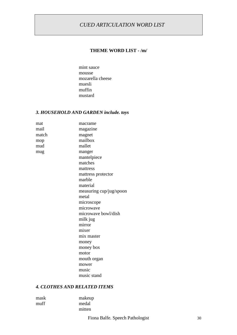#### **THEME WORD LIST - /m/**

mint sauce mousse mozarella cheese muesli muffin mustard

#### *3. HOUSEHOLD AND GARDEN include. toys*

| mat   | macrame                 |
|-------|-------------------------|
| mail  | magazine                |
| match | magnet                  |
| mop   | mailbox                 |
| mud   | mallet                  |
| mug   | manger                  |
|       | mantelpiece             |
|       | matches                 |
|       | mattress                |
|       | mattress protector      |
|       | marble                  |
|       | material                |
|       | measuring cup/jug/spoon |
|       | metal                   |
|       | microscope              |
|       | microwave               |
|       | microwave bowl/dish     |
|       | milk jug                |
|       | mirror                  |
|       | mixer                   |
|       | mix master              |
|       | money                   |
|       | money box               |
|       | motor                   |
|       | mouth organ             |
|       | mower                   |
|       | music                   |
|       | music stand             |

#### *4. CLOTHES AND RELATED ITEMS*

| mask | makeup |
|------|--------|
| muff | medal  |
|      | mitten |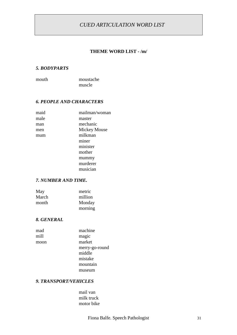#### **THEME WORD LIST - /m/**

#### *5. BODYPARTS*

mouth moustache muscle

#### *6. PEOPLE AND CHARACTERS*

| maid | mailman/woman       |
|------|---------------------|
| male | master              |
| man  | mechanic            |
| men  | <b>Mickey Mouse</b> |
| mum  | milkman             |
|      | miner               |
|      | minister            |
|      | mother              |
|      | mummy               |
|      | murderer            |
|      | musician            |

#### *7. NUMBER AND TIME.*

| May   | metric  |
|-------|---------|
| March | million |
| month | Monday  |
|       | morning |

#### *8. GENERAL*

| mad  | machine        |
|------|----------------|
| mill | magic          |
| moon | market         |
|      | merry-go-round |
|      | middle         |
|      | mistake        |
|      | mountain       |
|      | museum         |

#### *9. TRANSPORT/VEHICLES*

mail van milk truck motor bike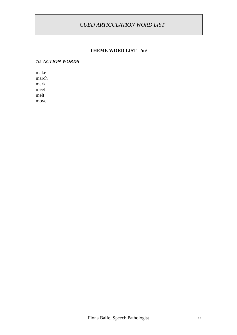#### **THEME WORD LIST - /m/**

# *10. ACTION WORDS*

make march mark meet melt move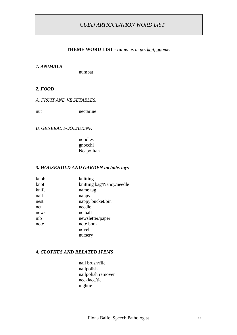#### **THEME WORD LIST - /n/** *ie. as in no, knit, gnome.*

#### *1. ANIMALS*

numbat

#### *2. FOOD*

#### *A. FRUIT AND VEGETABLES.*

nut nectarine

#### *B. GENERAL FOOD/DRINK*

noodles gnocchi Neapolitan

#### *3. HOUSEHOLD AND GARDEN include. toys*

| knob  | knitting                  |
|-------|---------------------------|
| knot  | knitting bag/Nancy/needle |
| knife | name tag                  |
| nail  | nappy                     |
| nest  | nappy bucket/pin          |
| net   | needle                    |
| news  | netball                   |
| nib   | newsletter/paper          |
| note  | note book                 |
|       | novel                     |
|       | nursery                   |
|       |                           |

#### *4. CLOTHES AND RELATED ITEMS*

nail brush/file nailpolish nailpolish remover necklace/tie nightie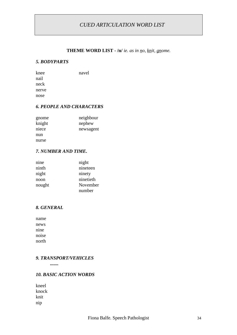#### **THEME WORD LIST - /n/** *ie. as in no, knit, gnome.*

#### *5. BODYPARTS*

| navel |
|-------|
|       |
|       |
|       |
|       |
|       |

#### *6. PEOPLE AND CHARACTERS*

| gnome  | neighbour |
|--------|-----------|
| knight | nephew    |
| niece  | newsagent |
| nun    |           |
| nurse  |           |

#### *7. NUMBER AND TIME.*

| nine   | night     |
|--------|-----------|
| ninth  | nineteen  |
| night  | ninety    |
| noon   | ninetieth |
| nought | November  |
|        | number    |

#### *8. GENERAL*

name news nine noise north

#### *9. TRANSPORT/VEHICLES*

*.......*

#### *10. BASIC ACTION WORDS*

kneel knock knit nip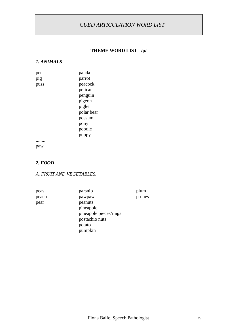#### **THEME WORD LIST - /p/**

#### *1. ANIMALS*

| pet  | panda      |
|------|------------|
| pig  | parrot     |
| puss | peacock    |
|      | pelican    |
|      | penguin    |
|      | pigeon     |
|      | piglet     |
|      | polar bear |
|      | possum     |
|      | pony       |
|      | poodle     |
|      | puppy      |
|      |            |

paw

#### *2. FOOD*

#### *A. FRUIT AND VEGETABLES.*

peas parsnip plum peach pawpaw prunes pear peanuts pineapple pineapple pieces/rings postachio nuts potato pumpkin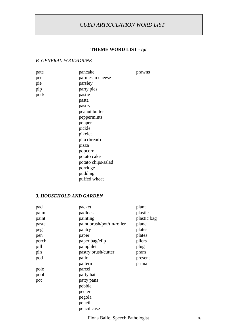# **THEME WORD LIST - /p/**

#### *B. GENERAL FOOD/DRINK*

| pate | pancake            | prawns |
|------|--------------------|--------|
| peel | parmesan cheese    |        |
| pie  | parsley            |        |
| pip  | party pies         |        |
| pork | pastie             |        |
|      | pasta              |        |
|      | pastry             |        |
|      | peanut butter      |        |
|      | peppermints        |        |
|      | pepper             |        |
|      | pickle             |        |
|      | pikelet            |        |
|      | pita (bread)       |        |
|      | pizza              |        |
|      | popcorn            |        |
|      | potato cake        |        |
|      | potato chips/salad |        |
|      | porridge           |        |
|      | pudding            |        |
|      | puffed wheat       |        |

#### *3. HOUSEHOLD AND GARDEN*

| pad   | packet                     | plant       |
|-------|----------------------------|-------------|
| palm  | padlock                    | plastic     |
| paint | painting                   | plastic bag |
| paste | paint brush/pot/tin/roller | plane       |
| peg   | pantry                     | plates      |
| pen   | paper                      | plates      |
| perch | paper bag/clip             | pliers      |
| pill  | pamphlet                   | plug        |
| pin   | pastry brush/cutter        | pram        |
| pod   | patio                      | present     |
|       | pattern                    | prima       |
| pole  | parcel                     |             |
| pool  | party hat                  |             |
| pot   | patty pans                 |             |
|       | pebble                     |             |
|       | peeler                     |             |
|       | pegola                     |             |
|       | pencil                     |             |
|       | pencil case                |             |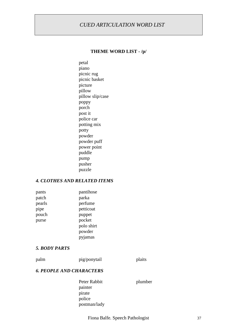#### **THEME WORD LIST - /p/**

petal piano picnic rug picnic basket picture pillow pillow slip/case poppy porch post it police car potting mix potty powder powder puff power point puddle pump pusher puzzle

#### *4. CLOTHES AND RELATED ITEMS*

| pants  | pantihose  |
|--------|------------|
| patch  | parka      |
| pearls | perfume    |
| pipe   | petticoat  |
| pouch  | puppet     |
| purse  | pocket     |
|        | polo shirt |
|        | powder     |
|        | pyjamas    |

#### *5. BODY PARTS*

#### palm pig/ponytail plaits

#### *6. PEOPLE AND CHARACTERS*

Peter Rabbit plumber painter pirate police postman/lady

Fiona Balfe. Speech Pathologist 37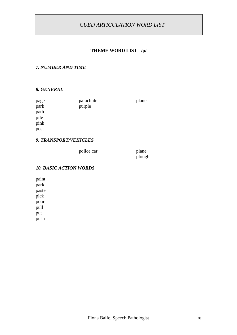#### **THEME WORD LIST - /p/**

#### *7. NUMBER AND TIME*

#### *8. GENERAL*

| page | parachute | planet |
|------|-----------|--------|
| park | purple    |        |
| path |           |        |
| pile |           |        |
| pink |           |        |
| post |           |        |
|      |           |        |

#### *9. TRANSPORT/VEHICLES*

police car plane

plough

#### *10. BASIC ACTION WORDS*

paint park paste pick pour pull put push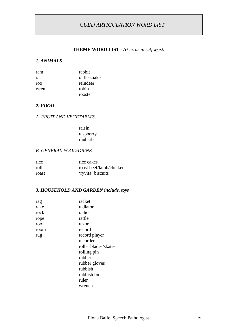#### **THEME WORD LIST - /r/** *ie. as in rat, wrist.*

#### *1. ANIMALS*

| ram  | rabbit       |
|------|--------------|
| rat  | rattle snake |
| roo  | reindeer     |
| wren | robin        |
|      | rooster      |

#### *2. FOOD*

#### *A. FRUIT AND VEGETABLES.*

raisin raspberry rhubarb

#### *B. GENERAL FOOD/DRINK*

| rice  | rice cakes              |
|-------|-------------------------|
| roll  | roast beef/lamb/chicken |
| roast | 'ryvita' biscuits       |

#### *3. HOUSEHOLD AND GARDEN include. toys*

| rag  | racket               |
|------|----------------------|
| rake | radiator             |
| rock | radio                |
| rope | rattle               |
| roof | razor                |
| room | record               |
| rug  | record player        |
|      | recorder             |
|      | roller blades/skates |
|      | rolling pin          |
|      | rubber               |
|      | rubber gloves        |
|      | rubbish              |
|      | rubbish bin          |
|      | ruler                |
|      | wrench               |
|      |                      |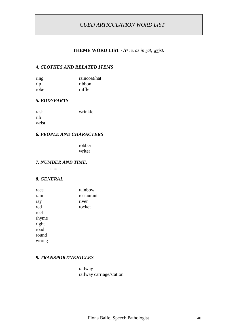#### **THEME WORD LIST - /r/** *ie. as in rat, wrist.*

#### *4. CLOTHES AND RELATED ITEMS*

| ring | raincoat/hat |
|------|--------------|
| rip  | ribbon       |
| robe | ruffle       |

#### *5. BODYPARTS*

| rash  | wrinkle |
|-------|---------|
| rib   |         |
| wrist |         |

#### *6. PEOPLE AND CHARACTERS*

robber writer

#### *7. NUMBER AND TIME.*

**.........**

#### *8. GENERAL*

| race  | rainbow    |
|-------|------------|
| rain  | restaurant |
| ray   | river      |
| red   | rocket     |
| reef  |            |
| rhyme |            |
| right |            |
| road  |            |
| round |            |
| wrong |            |

#### *9. TRANSPORT/VEHICLES*

railway railway carriage/station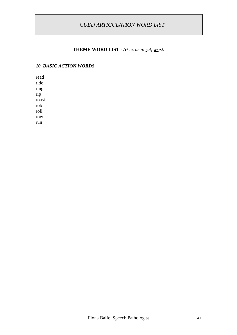#### **THEME WORD LIST - /r/** *ie. as in rat, wrist.*

#### *10. BASIC ACTION WORDS*

read ride ring rip roast rob roll row run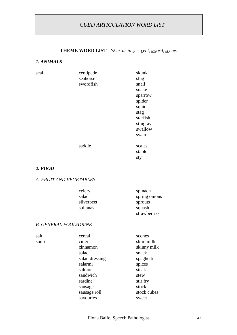# **THEME WORD LIST - /s/** *ie. as in see, cent, sword, scene.*

#### *1. ANIMALS*

| seal | centipede<br>seahorse<br>swordfish | skunk<br>slug<br>snail<br>snake<br>sparrow<br>spider<br>squid<br>stag<br>starfish<br>stingray |
|------|------------------------------------|-----------------------------------------------------------------------------------------------|
|      |                                    | swallow                                                                                       |
|      |                                    | swan                                                                                          |
|      | saddle                             | scales<br>stable<br>sty                                                                       |

#### *2. FOOD*

#### *A. FRUIT AND VEGETABLES.*

| celery     | spinach       |
|------------|---------------|
| salad      | spring onions |
| silverbeet | sprouts       |
| sultanas   | squash        |
|            | strawberries  |

#### *B. GENERAL FOOD/DRINK*

| cereal         | scones      |
|----------------|-------------|
| cider          | skim milk   |
| cinnamon       | skinny milk |
| salad          | snack       |
| salad dressing | spaghetti   |
| salarmi        | spices      |
| salmon         | steak       |
| sandwich       | stew        |
| sardine        | stir fry    |
| sausage        | stock       |
| sausage roll   | stock cubes |
| savouries      | sweet       |
|                |             |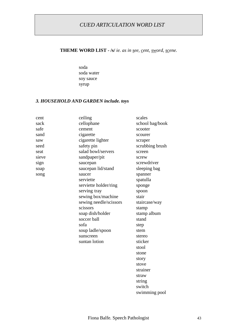#### **THEME WORD LIST - /s/** *ie. as in see, cent, sword, scene.*

soda soda water soy sauce syrup

#### *3. HOUSEHOLD AND GARDEN include. toys*

| cent  | ceiling                | scales          |
|-------|------------------------|-----------------|
| sack  | cellophane             | school bag/book |
| safe  | cement                 | scooter         |
| sand  | cigarette              | scourer         |
| saw   | cigarette lighter      | scraper         |
| seed  | safety pin             | scrubbing brush |
| seat  | salad bowl/servers     | screen          |
| sieve | sandpaper/pit          | screw           |
| sign  | saucepan               | screwdriver     |
| soap  | saucepan lid/stand     | sleeping bag    |
| song  | saucer                 | spanner         |
|       | serviette              | spatulla        |
|       | serviette holder/ring  | sponge          |
|       | serving tray           | spoon           |
|       | sewing box/machine     | stair           |
|       | sewing needle/scissors | staircase/way   |
|       | scissors               | stamp           |
|       | soap dish/holder       | stamp album     |
|       | soccer ball            | stand           |
|       | sofa                   | step            |
|       | soup ladle/spoon       | stem            |
|       | sunscreen              | stereo          |
|       | suntan lotion          | sticker         |
|       |                        | stool           |
|       |                        | stone           |
|       |                        | story           |
|       |                        | stove           |
|       |                        | strainer        |
|       |                        | straw           |
|       |                        | string          |
|       |                        | switch          |
|       |                        | swimming pool   |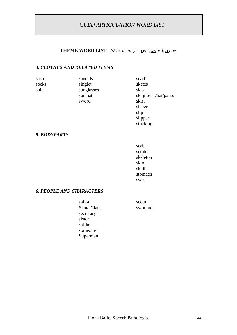#### **THEME WORD LIST - /s/** *ie. as in see, cent, sword, scene.*

#### *4. CLOTHES AND RELATED ITEMS*

| sash  | sandals    | scarf                |
|-------|------------|----------------------|
| socks | singlet    | skates               |
| suit  | sunglasses | skis                 |
|       | sun hat    | ski gloves/hat/pants |
|       | sword      | skirt                |
|       |            | sleeve               |
|       |            | slip                 |
|       |            | slipper              |
|       |            | stocking             |

#### *5. BODYPARTS*

scab scratch skeleton skin skull stomach sweat

#### *6. PEOPLE AND CHARACTERS*

sailor scout Santa Claus swimmer secretary sister soldier someone Superman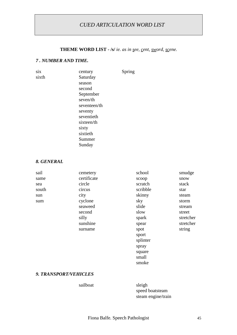#### **THEME WORD LIST - /s/** *ie. as in see, cent, sword, scene.*

#### *7 . NUMBER AND TIME.*

| six   | century      | Spring |
|-------|--------------|--------|
| sixth | Saturday     |        |
|       | season       |        |
|       | second       |        |
|       | September    |        |
|       | seven/th     |        |
|       | seventeen/th |        |
|       | seventy      |        |
|       | seventieth   |        |
|       | sixteen/th   |        |
|       | sixty        |        |
|       | sixtieth     |        |
|       | Summer       |        |
|       | Sunday       |        |

#### *8. GENERAL*

| sail  | cemetery    | school   | smudge    |
|-------|-------------|----------|-----------|
| same  | certificate | scoop    | snow      |
| sea   | circle      | scratch  | stack     |
| south | circus      | scribble | star      |
| sun   | city        | skinny   | steam     |
| sum   | cyclone     | sky      | storm     |
|       | seaweed     | slide    | stream    |
|       | second      | slow     | street    |
|       | silly       | spark    | stretcher |
|       | sunshine    | spear    | stretcher |
|       | surname     | spot     | string    |
|       |             | sport    |           |
|       |             | splinter |           |
|       |             | spray    |           |
|       |             | square   |           |
|       |             | small    |           |

#### *9. TRANSPORT/VEHICLES*

#### sailboat sleigh

speed boatsteam steam engine/train

smoke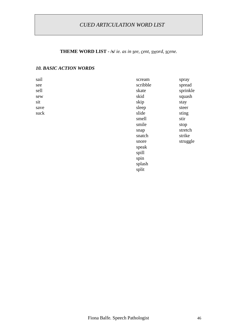**THEME WORD LIST - /s/** *ie. as in see, cent, sword, scene.*

### *10. BASIC ACTION WORDS*

| sail | scream   | spray    |
|------|----------|----------|
| see  | scribble | spread   |
| sell | skate    | sprinkle |
| sew  | skid     | squash   |
| sit  | skip     | stay     |
| save | sleep    | steer    |
| suck | slide    | sting    |
|      | smell    | stir     |
|      | smile    | stop     |
|      | snap     | stretch  |
|      | snatch   | strike   |
|      | snore    | struggle |
|      | speak    |          |
|      | spill    |          |
|      | spin     |          |
|      | splash   |          |
|      | split    |          |
|      |          |          |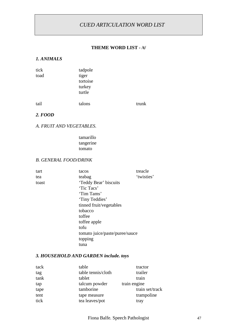#### **THEME WORD LIST - /t/**

#### *1. ANIMALS*

| tick | tadpole                               |       |
|------|---------------------------------------|-------|
| toad | tiger<br>tortoise<br>turkey<br>turtle |       |
| tail | talons                                | trunk |

#### *2. FOOD*

#### *A. FRUIT AND VEGETABLES.*

tamarillo tangerine tomato

#### *B. GENERAL FOOD/DRINK*

| tart  | tacos                          | treacle    |
|-------|--------------------------------|------------|
| tea   | teabag                         | 'twisties' |
| toast | 'Teddy Bear' biscuits          |            |
|       | 'Tic Tacs'                     |            |
|       | 'Tim Tams'                     |            |
|       | 'Tiny Teddies'                 |            |
|       | tinned fruit/vegetables        |            |
|       | tobacco                        |            |
|       | toffee                         |            |
|       | toffee apple                   |            |
|       | tofu                           |            |
|       | tomato juice/paste/puree/sauce |            |
|       | topping                        |            |
|       | tuna                           |            |

#### *3. HOUSEHOLD AND GARDEN include. toys*

| table              | tractor         |
|--------------------|-----------------|
| table tennis/cloth | trailer         |
| tablet             | train           |
| talcum powder      | train engine    |
| tamborine          | train set/track |
| tape measure       | trampoline      |
| tea leaves/pot     | tray            |
|                    |                 |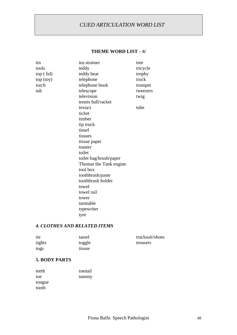#### **THEME WORD LIST - /t/**

| tin       | tea strainer           | tree     |
|-----------|------------------------|----------|
| tools     | teddy                  | tricycle |
| top (lid) | teddy bear             | trophy   |
| top (toy) | telephone              | truck    |
| torch     | telephone book         | trumpet  |
| tub       | telescope              | tweezers |
|           | television             | twig     |
|           | tennis ball/racket     |          |
|           | texta/s                | tube     |
|           | ticket                 |          |
|           | timber                 |          |
|           | tip truck              |          |
|           | tinsel                 |          |
|           | tissues                |          |
|           | tissue paper           |          |
|           | toaster                |          |
|           | toilet                 |          |
|           | toilet bag/brush/paper |          |
|           | Thomas the Tank engine |          |
|           | tool box               |          |
|           | toothbrush/paste       |          |
|           | toothbrush holder      |          |
|           | towel                  |          |
|           | towel rail             |          |
|           | tower                  |          |
|           | turntable              |          |
|           | typewriter             |          |
|           | tyre                   |          |
|           |                        |          |

## *4. CLOTHES AND RELATED ITEMS*

| tie    | tassel | tracksuit/shoes |
|--------|--------|-----------------|
| tights | toggle | trousers        |
| togs   | tissue |                 |

#### **5. BODY PARTS**

| teeth  | toenail |
|--------|---------|
| toe    | tummy   |
| tongue |         |
| tooth  |         |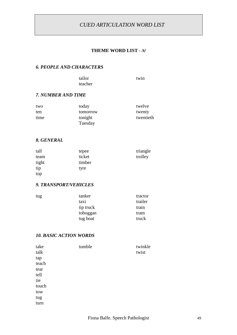#### **THEME WORD LIST - /t/**

#### *6. PEOPLE AND CHARACTERS*

tailor twin teacher

#### *7. NUMBER AND TIME*

| two  | today    | twelve    |
|------|----------|-----------|
| ten  | tomorrow | twenty    |
| time | tonight  | twentieth |
|      | Tuesday  |           |

#### *8. GENERAL*

| tall  | tepee  | triangle |
|-------|--------|----------|
| team  | ticket | trolley  |
| tight | timber |          |
| tip   | tyre   |          |
| top   |        |          |

#### *9. TRANSPORT/VEHICLES*

| tug | tanker    | tractor |
|-----|-----------|---------|
|     | taxi      | trailer |
|     | tip truck | train   |
|     | toboggan  | tram    |
|     | tug boat  | truck   |

#### *10. BASIC ACTION WORDS*

| take  | tumble | twinkle |
|-------|--------|---------|
| talk  |        | twist   |
| tap   |        |         |
| teach |        |         |
| tear  |        |         |
| tell  |        |         |
| tie   |        |         |
| touch |        |         |
| tow   |        |         |
| tug   |        |         |
| turn  |        |         |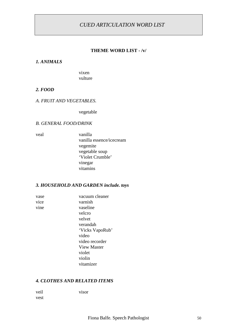#### **THEME WORD LIST - /v/**

#### *1. ANIMALS*

vixen vulture

#### *2. FOOD*

#### *A. FRUIT AND VEGETABLES.*

vegetable

#### *B. GENERAL FOOD/DRINK*

veal vanilla vanilla essence/icecream vegemite vegetable soup 'Violet Crumble' vinegar vitamins

#### *3. HOUSEHOLD AND GARDEN include. toys*

vase vacuum cleaner vice varnish vine vaseline velcro velvet verandah 'Vicks VapoRub' video video recorder View Master violet violin vitamizer

#### *4. CLOTHES AND RELATED ITEMS*

veil visor vest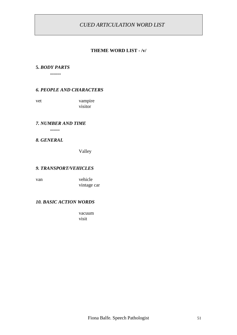#### **THEME WORD LIST - /v/**

#### **5.** *BODY PARTS*

**.........**

#### *6. PEOPLE AND CHARACTERS*

vet vampire visitor

#### *7. NUMBER AND TIME*

**........**

#### *8. GENERAL*

Valley

#### *9. TRANSPORT/VEHICLES*

van vehicle vintage car

#### *10. BASIC ACTION WORDS*

vacuum visit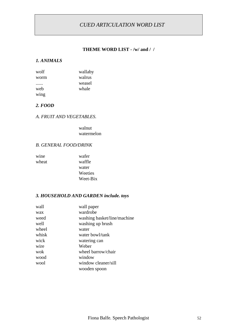#### **THEME WORD LIST - /w/ and / /**

#### *1. ANIMALS*

| wolf | wallaby |
|------|---------|
| worm | walrus  |
|      | weasel  |
| web  | whale   |
| wing |         |

#### *2. FOOD*

#### *A. FRUIT AND VEGETABLES.*

walnut watermelon

#### *B. GENERAL FOOD/DRINK*

| wine  | wafer    |
|-------|----------|
| wheat | waffle   |
|       | water    |
|       | Weeties  |
|       | Weet-Bix |

#### *3. HOUSEHOLD AND GARDEN include. toys*

| wall  | wall paper                  |
|-------|-----------------------------|
| wax   | wardrobe                    |
| weed  | washing basket/line/machine |
| well  | washing up brush            |
| wheel | water                       |
| whisk | water bowl/tank             |
| wick  | watering can                |
| wire  | Weber                       |
| wok   | wheel barrow/chair          |
| wood  | window                      |
| wool  | window cleaner/sill         |
|       | wooden spoon                |
|       |                             |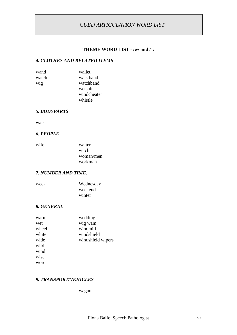#### **THEME WORD LIST - /w/ and / /**

#### *4. CLOTHES AND RELATED ITEMS*

| wand  | wallet      |
|-------|-------------|
| watch | waistband   |
| wig   | watchband   |
|       | wetsuit     |
|       | windcheater |
|       | whistle     |

#### *5. BODYPARTS*

waist

#### *6. PEOPLE*

| wife | waiter    |
|------|-----------|
|      | witch     |
|      | woman/men |
|      | workman   |

#### *7. NUMBER AND TIME.*

| week | Wednesday |
|------|-----------|
|      | weekend   |
|      | winter    |

#### *8. GENERAL*

| warm  | wedding           |
|-------|-------------------|
| wet   | wig wam           |
| wheel | windmill          |
| white | windshield        |
| wide  | windshield wipers |
| wild  |                   |
| wind  |                   |
| wise  |                   |
| word  |                   |

#### *9. TRANSPORT/VEHICLES*

wagon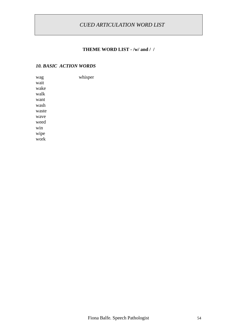# **THEME WORD LIST - /w/ and / /**

#### *10. BASIC ACTION WORDS*

wag whisper wait wake walk want wash waste wave weed win wipe work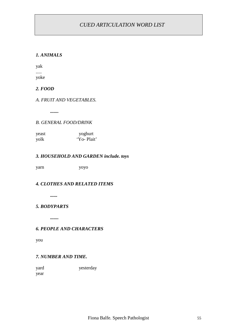#### *1. ANIMALS*

yak ..... yoke

*2. FOOD*

*A. FRUIT AND VEGETABLES.*

**.......**

#### *B. GENERAL FOOD/DRINK*

| yeast | yoghurt    |
|-------|------------|
| yolk  | 'Yo-Plait' |

#### *3. HOUSEHOLD AND GARDEN include. toys*

yarn yoyo

#### *4. CLOTHES AND RELATED ITEMS*

**......**

#### *5. BODYPARTS*

**.......**

#### *6. PEOPLE AND CHARACTERS*

you

#### *7. NUMBER AND TIME.*

yard yesterday year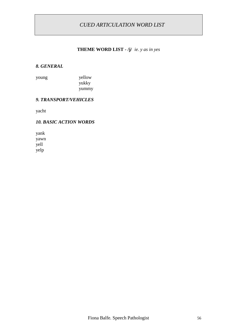#### **THEME WORD LIST - /j/** *ie. y as in yes*

#### *8. GENERAL*

young yellow yukky yummy

#### *9. TRANSPORT/VEHICLES*

yacht

#### *10. BASIC ACTION WORDS*

yank yawn yell yelp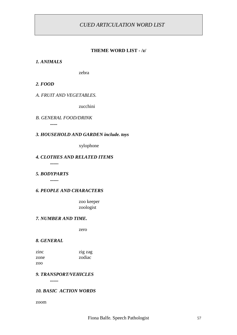#### **THEME WORD LIST - /z/**

#### *1. ANIMALS*

zebra

#### *2. FOOD*

#### *A. FRUIT AND VEGETABLES.*

zucchini

*B. GENERAL FOOD/DRINK* **......**

#### *3. HOUSEHOLD AND GARDEN include. toys*

xylophone

#### *4. CLOTHES AND RELATED ITEMS*

**.......**

#### *5. BODYPARTS*

**.......**

#### *6. PEOPLE AND CHARACTERS*

zoo keeper zoologist

#### *7. NUMBER AND TIME.*

zero

#### *8. GENERAL*

| zinc | zig zag |
|------|---------|
| zone | zodiac  |
| zoo  |         |

#### *9. TRANSPORT/VEHICLES*

*.......*

#### *10. BASIC ACTION WORDS*

zoom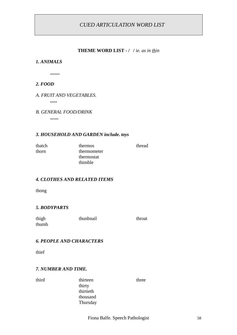#### **THEME WORD LIST - / /** *ie. as in thin*

#### *1. ANIMALS*

**........**

#### *2. FOOD*

#### *A. FRUIT AND VEGETABLES.*

*......*

#### *B. GENERAL FOOD/DRINK*

**.......**

#### *3. HOUSEHOLD AND GARDEN include. toys*

thorn thermometer thermostat thimble

thatch thermos thread

#### *4. CLOTHES AND RELATED ITEMS*

thong

#### *5. BODYPARTS*

| thigh | thunbnail | throat |
|-------|-----------|--------|
| thumb |           |        |

#### *6. PEOPLE AND CHARACTERS*

thief

#### *7. NUMBER AND TIME.*

third thirteen three thirty thirtieth thousand Thursday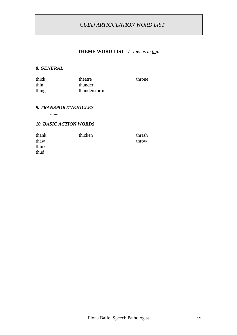# **THEME WORD LIST - / /** *ie. as in thin*

throne

#### *8. GENERAL*

| thick | theatre      |
|-------|--------------|
| thin  | thunder      |
| thing | thunderstorm |

#### *9. TRANSPORT/VEHICLES*

**.......**

#### *10. BASIC ACTION WORDS*

| thank | thicken | thrash |
|-------|---------|--------|
| thaw  |         | throw  |
| think |         |        |
| thud  |         |        |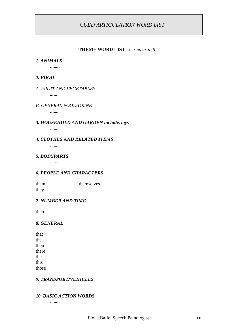#### **THEME WORD LIST - / /** *ie. as in the*

#### *1. ANIMALS*

**........**

#### *2. FOOD*

#### *A. FRUIT AND VEGETABLES.*

*......*

#### *B. GENERAL FOOD/DRINK*

**.......**

#### *3. HOUSEHOLD AND GARDEN include. toys* **.......**

*4. CLOTHES AND RELATED ITEMS* **........**

### *5. BODYPARTS*

**.......**

#### *6. PEOPLE AND CHARACTERS*

them themselves they

#### *7. NUMBER AND TIME.*

then

#### *8. GENERAL*

| that  |
|-------|
| the   |
| their |
| there |
| these |
| this  |
| those |

#### *9. TRANSPORT/VEHICLES*

**.......**

#### *10. BASIC ACTION WORDS*

**........**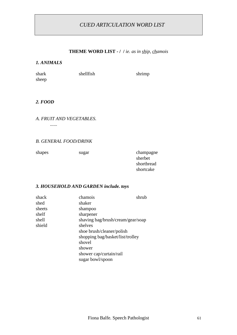#### **THEME WORD LIST - / /** *ie. as in ship, chamois*

#### *1. ANIMALS*

sheep

shark shellfish shrimp

#### *2. FOOD*

#### *A. FRUIT AND VEGETABLES.*

*......*

#### *B. GENERAL FOOD/DRINK*

shapes sugar champagne

sherbet shortbread shortcake

#### *3. HOUSEHOLD AND GARDEN include. toys*

| shack  | chamois                           | shrub |
|--------|-----------------------------------|-------|
| shed   | shaker                            |       |
| sheets | shampoo                           |       |
| shelf  | sharpener                         |       |
| shell  | shaving bag/brush/cream/gear/soap |       |
| shield | shelves                           |       |
|        | shoe brush/cleaner/polish         |       |
|        | shopping bag/basket/list/trolley  |       |
|        | shovel                            |       |
|        | shower                            |       |
|        | shower cap/curtain/rail           |       |
|        | sugar bowl/spoon                  |       |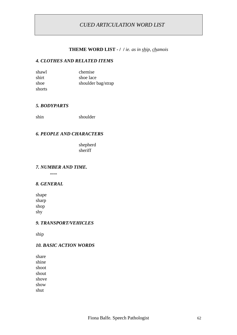#### **THEME WORD LIST - / /** *ie. as in ship, chamois*

#### *4. CLOTHES AND RELATED ITEMS*

| shawl  | chemise            |
|--------|--------------------|
| shirt  | shoe lace          |
| shoe   | shoulder bag/strap |
| shorts |                    |

#### *5. BODYPARTS*

shin shoulder

#### *6. PEOPLE AND CHARACTERS*

shepherd sheriff

#### *7. NUMBER AND TIME.*

*......*

#### *8. GENERAL*

shape sharp shop shy

#### *9. TRANSPORT/VEHICLES*

ship

#### *10. BASIC ACTION WORDS*

share shine shoot shout shove show shut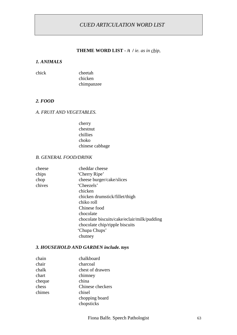#### **THEME WORD LIST - /t /** *ie. as in chip,*

#### *1. ANIMALS*

| chick | cheetah    |
|-------|------------|
|       | chicken    |
|       | chimpanzee |

#### *2. FOOD*

#### *A. FRUIT AND VEGETABLES.*

cherry chestnut chillies choko chinese cabbage

#### *B. GENERAL FOOD/DRINK*

| cheese | cheddar cheese                              |
|--------|---------------------------------------------|
| chips  | 'Cherry Ripe'                               |
| chop   | cheese burger/cake/slices                   |
| chives | 'Cheezels'                                  |
|        | chicken                                     |
|        | chicken drumstick/fillet/thigh              |
|        | chiko roll                                  |
|        | Chinese food                                |
|        | chocolate                                   |
|        | chocolate biscuits/cake/eclair/milk/pudding |
|        | chocolate chip/ripple biscuits              |
|        | 'Chupa Chups'                               |
|        | chutney                                     |
|        |                                             |

#### *3. HOUSEHOLD AND GARDEN include. toys*

| chain  | chalkboard       |
|--------|------------------|
| chair  | charcoal         |
| chalk  | chest of drawers |
| chart  | chimney          |
| cheque | china            |
| chess  | Chinese checkers |
| chimes | chisel           |
|        | chopping board   |
|        | chopsticks       |